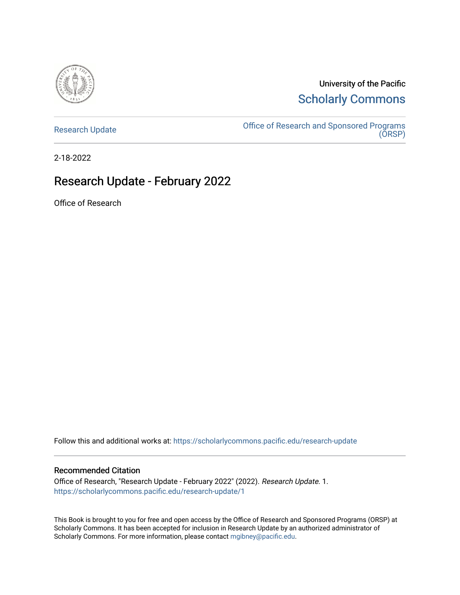

University of the Pacific [Scholarly Commons](https://scholarlycommons.pacific.edu/) 

[Research Update](https://scholarlycommons.pacific.edu/research-update) **Consort Consort Consort Consort Consort Consort Consort Consort Consort Consort Consort Conso** [\(ORSP\)](https://scholarlycommons.pacific.edu/rgs) 

2-18-2022

#### Research Update - February 2022

Office of Research

Follow this and additional works at: [https://scholarlycommons.pacific.edu/research-update](https://scholarlycommons.pacific.edu/research-update?utm_source=scholarlycommons.pacific.edu%2Fresearch-update%2F1&utm_medium=PDF&utm_campaign=PDFCoverPages)

#### Recommended Citation

Office of Research, "Research Update - February 2022" (2022). Research Update. 1. [https://scholarlycommons.pacific.edu/research-update/1](https://scholarlycommons.pacific.edu/research-update/1?utm_source=scholarlycommons.pacific.edu%2Fresearch-update%2F1&utm_medium=PDF&utm_campaign=PDFCoverPages)

This Book is brought to you for free and open access by the Office of Research and Sponsored Programs (ORSP) at Scholarly Commons. It has been accepted for inclusion in Research Update by an authorized administrator of Scholarly Commons. For more information, please contact [mgibney@pacific.edu.](mailto:mgibney@pacific.edu)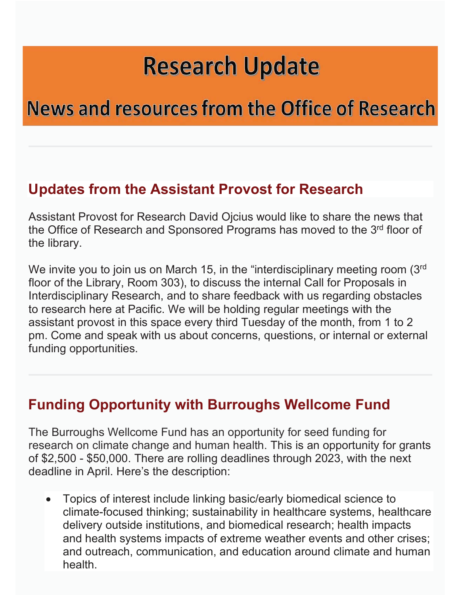## **Research Update**

## **News and resources from the Office of Research**

### **Updates from the Assistant Provost for Research**

Assistant Provost for Research David Ojcius would like to share the news that the Office of Research and Sponsored Programs has moved to the 3rd floor of the library.

We invite you to join us on March 15, in the "interdisciplinary meeting room (3rd) floor of the Library, Room 303), to discuss the internal Call for Proposals in Interdisciplinary Research, and to share feedback with us regarding obstacles to research here at Pacific. We will be holding regular meetings with the assistant provost in this space every third Tuesday of the month, from 1 to 2 pm. Come and speak with us about concerns, questions, or internal or external funding opportunities.

### **Funding Opportunity with Burroughs Wellcome Fund**

The Burroughs Wellcome Fund has an opportunity for seed funding for research on climate change and human health. This is an opportunity for grants of \$2,500 - \$50,000. There are rolling deadlines through 2023, with the next deadline in April. Here's the description:

• Topics of interest include linking basic/early biomedical science to climate-focused thinking; sustainability in healthcare systems, healthcare delivery outside institutions, and biomedical research; health impacts and health systems impacts of extreme weather events and other crises; and outreach, communication, and education around climate and human health.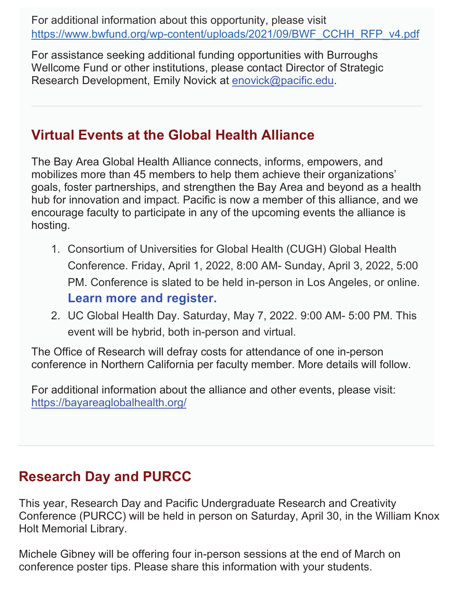For additional information about this opportunity, please visit https://www.bwfund.org/wp-content/uploads/2021/09/BWF\_CCHH\_RFP\_v4.pdf

For assistance seeking additional funding opportunities with Burroughs Wellcome Fund or other institutions, please contact Director of Strategic Research Development, Emily Novick at enovick@pacific.edu.

### **Virtual Events at the Global Health Alliance**

The Bay Area Global Health Alliance connects, informs, empowers, and mobilizes more than 45 members to help them achieve their organizations' goals, foster partnerships, and strengthen the Bay Area and beyond as a health hub for innovation and impact. Pacific is now a member of this alliance, and we encourage faculty to participate in any of the upcoming events the alliance is hosting.

- 1. Consortium of Universities for Global Health (CUGH) Global Health Conference. Friday, April 1, 2022, 8:00 AM- Sunday, April 3, 2022, 5:00 PM. Conference is slated to be held in-person in Los Angeles, or online. **Learn more and register.**
- 2. UC Global Health Day. Saturday, May 7, 2022. 9:00 AM- 5:00 PM. This event will be hybrid, both in-person and virtual.

The Office of Research will defray costs for attendance of one in-person conference in Northern California per faculty member. More details will follow.

For additional information about the alliance and other events, please visit: https://bayareaglobalhealth.org/

### **Research Day and PURCC**

This year, Research Day and Pacific Undergraduate Research and Creativity Conference (PURCC) will be held in person on Saturday, April 30, in the William Knox Holt Memorial Library.

Michele Gibney will be offering four in-person sessions at the end of March on conference poster tips. Please share this information with your students.